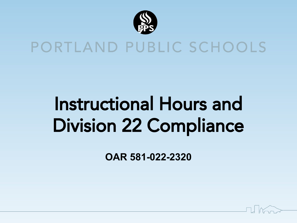

#### PORTLAND PUBLIC SCHOOLS

# Instructional Hours and Division 22 Compliance

**OAR 581-022-2320**

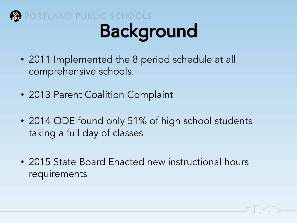

#### PORTLAND PUBLIC SCHOOLS Background

- 2011 Implemented the 8 period schedule at all comprehensive schools.
- 2013 Parent Coalition Complaint
- 2014 ODE found only 51% of high school students taking a full day of classes
- 2015 State Board Enacted new instructional hours requirements

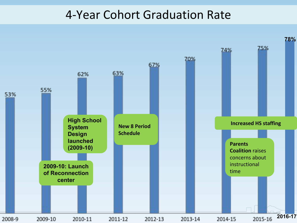#### 4-Year Cohort Graduation Rate

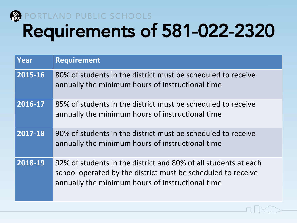

#### **PORTLAND PUBLIC SCHOOLS** Requirements of 581-022-2320

| Year    | <b>Requirement</b>                                                                                                                                                                  |
|---------|-------------------------------------------------------------------------------------------------------------------------------------------------------------------------------------|
| 2015-16 | 80% of students in the district must be scheduled to receive<br>annually the minimum hours of instructional time                                                                    |
| 2016-17 | 85% of students in the district must be scheduled to receive<br>annually the minimum hours of instructional time                                                                    |
| 2017-18 | 90% of students in the district must be scheduled to receive<br>annually the minimum hours of instructional time                                                                    |
| 2018-19 | 92% of students in the district and 80% of all students at each<br>school operated by the district must be scheduled to receive<br>annually the minimum hours of instructional time |

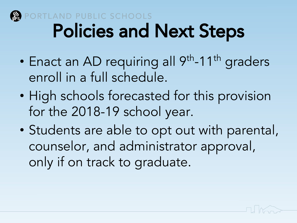

#### ORTLAND PUBLIC SCHOOLS Policies and Next Steps

- Enact an AD requiring all 9<sup>th</sup>-11<sup>th</sup> graders enroll in a full schedule.
- High schools forecasted for this provision for the 2018-19 school year.
- Students are able to opt out with parental, counselor, and administrator approval, only if on track to graduate.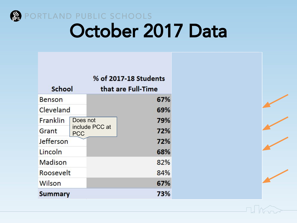

# **BPORTLAND PUBLIC SCHOOLS**

|               |            |                | % of 2017-18 Students |
|---------------|------------|----------------|-----------------------|
| School        |            |                | that are Full-Time    |
| <b>Benson</b> |            |                | 67%                   |
| Cleveland     |            |                | 69%                   |
| Franklin      | Does not   |                | 79%                   |
| Grant         | <b>PCC</b> | include PCC at | 72%                   |
| Jefferson     |            |                | 72%                   |
| Lincoln       |            |                | 68%                   |
| Madison       |            |                | 82%                   |
| Roosevelt     |            |                | 84%                   |
| Wilson        |            |                | 67%                   |
| Summary       |            |                | 73%                   |



 $\Box$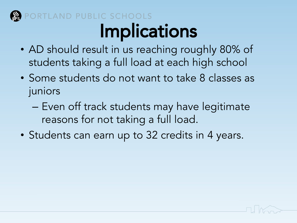

### **PORTLAND PUBLIC SCHOOLS**

# Implications

- AD should result in us reaching roughly 80% of students taking a full load at each high school
- Some students do not want to take 8 classes as juniors
	- Even off track students may have legitimate reasons for not taking a full load.
- Students can earn up to 32 credits in 4 years.

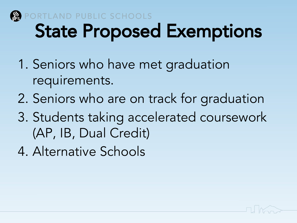

#### **PORTLAND PUBLIC SCHOOLS** State Proposed Exemptions

- 1. Seniors who have met graduation requirements.
- 2. Seniors who are on track for graduation
- 3. Students taking accelerated coursework (AP, IB, Dual Credit)
- 4. Alternative Schools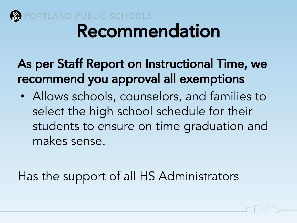

#### TLAND PUBLIC SCHOOLS Recommendation

#### As per Staff Report on Instructional Time, we recommend you approval all exemptions

• Allows schools, counselors, and families to select the high school schedule for their students to ensure on time graduation and makes sense.

Has the support of all HS Administrators

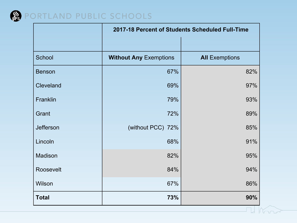

#### PORTLAND PUBLIC SCHOOLS

|                  | 2017-18 Percent of Students Scheduled Full-Time |                       |  |
|------------------|-------------------------------------------------|-----------------------|--|
|                  |                                                 |                       |  |
| School           | <b>Without Any Exemptions</b>                   | <b>All Exemptions</b> |  |
| <b>Benson</b>    | 67%                                             | 82%                   |  |
| Cleveland        | 69%                                             | 97%                   |  |
| Franklin         | 79%                                             | 93%                   |  |
| Grant            | 72%                                             | 89%                   |  |
| <b>Jefferson</b> | (without PCC) 72%                               | 85%                   |  |
| Lincoln          | 68%                                             | 91%                   |  |
| Madison          | 82%                                             | 95%                   |  |
| Roosevelt        | 84%                                             | 94%                   |  |
| Wilson           | 67%                                             | 86%                   |  |
| <b>Total</b>     | 73%                                             | 90%                   |  |

 $\Box$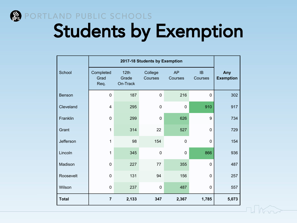

#### PORTLAND PUBLIC SCHOOLS Students by Exemption

|               | 2017-18 Students by Exemption |                           |                    |                      |                             |                         |
|---------------|-------------------------------|---------------------------|--------------------|----------------------|-----------------------------|-------------------------|
| School        | Completed<br>Grad<br>Req.     | 12th<br>Grade<br>On-Track | College<br>Courses | <b>AP</b><br>Courses | <b>IB</b><br><b>Courses</b> | Any<br><b>Exemption</b> |
| <b>Benson</b> | $\mathbf 0$                   | 187                       | $\mathbf 0$        | 216                  | $\mathbf 0$                 | 302                     |
| Cleveland     | 4                             | 295                       | $\pmb{0}$          | $\mathbf 0$          | 910                         | 917                     |
| Franklin      | 0                             | 299                       | $\mathbf 0$        | 626                  | 9                           | 734                     |
| Grant         | 1                             | 314                       | 22                 | 527                  | $\mathbf 0$                 | 729                     |
| Jefferson     | 1                             | 98                        | 154                | $\mathbf 0$          | $\mathbf 0$                 | 154                     |
| Lincoln       | 1                             | 345                       | $\mathbf 0$        | 0                    | 866                         | 936                     |
| Madison       | $\mathbf 0$                   | 227                       | 77                 | 355                  | $\mathbf 0$                 | 487                     |
| Roosevelt     | $\mathbf 0$                   | 131                       | 94                 | 156                  | $\mathbf 0$                 | 257                     |
| Wilson        | $\mathbf 0$                   | 237                       | $\mathbf 0$        | 487                  | $\mathbf 0$                 | 557                     |
| <b>Total</b>  | $\overline{7}$                | 2,133                     | 347                | 2,367                | 1,785                       | 5,073                   |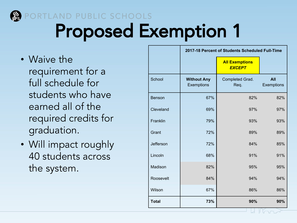

#### ORTLAND PUBLIC SCHOOLS Proposed Exemption 1

- Waive the requirement for a full schedule for students who have earned all of the required credits for graduation.
- Will impact roughly 40 students across the system.

|              | 2017-18 Percent of Students Scheduled Full-Time |                                        |                   |  |  |  |
|--------------|-------------------------------------------------|----------------------------------------|-------------------|--|--|--|
|              |                                                 | <b>All Exemptions</b><br><b>EXCEPT</b> |                   |  |  |  |
| School       | <b>Without Any</b><br>Exemptions                | Completed Grad.<br>Req.                | All<br>Exemptions |  |  |  |
| Benson       | 67%                                             | 82%                                    | 82%               |  |  |  |
| Cleveland    | 69%                                             | 97%                                    | 97%               |  |  |  |
| Franklin     | 79%                                             | 93%                                    | 93%               |  |  |  |
| Grant        | 72%                                             | 89%                                    | 89%               |  |  |  |
| Jefferson    | 72%                                             | 84%                                    | 85%               |  |  |  |
| Lincoln      | 68%                                             | 91%                                    | 91%               |  |  |  |
| Madison      | 82%                                             | 95%                                    | 95%               |  |  |  |
| Roosevelt    | 84%                                             | 94%                                    | 94%               |  |  |  |
| Wilson       | 67%                                             | 86%                                    | 86%               |  |  |  |
| <b>Total</b> | 73%                                             | 90%                                    | 90%               |  |  |  |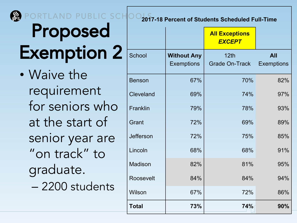

#### **PORTLAND PUBLIC SCHOO** Proposed Exemption 2

- Waive the requirement for seniors who at the start of senior year are "on track" to graduate.
	- 2200 students

|  | 2017-18 Percent of Students Scheduled Full-Time |                                         |                                        |                                 |  |  |  |  |
|--|-------------------------------------------------|-----------------------------------------|----------------------------------------|---------------------------------|--|--|--|--|
|  |                                                 |                                         | <b>All Exceptions</b><br><b>EXCEPT</b> |                                 |  |  |  |  |
|  | School                                          | <b>Without Any</b><br><b>Exemptions</b> | 12th<br><b>Grade On-Track</b>          | <b>All</b><br><b>Exemptions</b> |  |  |  |  |
|  | <b>Benson</b>                                   | 67%                                     | 70%                                    | 82%                             |  |  |  |  |
|  | Cleveland                                       | 69%                                     | 74%                                    | 97%                             |  |  |  |  |
|  | Franklin                                        | 79%                                     | 78%                                    | 93%                             |  |  |  |  |
|  | Grant                                           | 72%                                     | 69%                                    | 89%                             |  |  |  |  |
|  | <b>Jefferson</b>                                | 72%                                     | 75%                                    | 85%                             |  |  |  |  |
|  | Lincoln                                         | 68%                                     | 68%                                    | 91%                             |  |  |  |  |
|  | <b>Madison</b>                                  | 82%                                     | 81%                                    | 95%                             |  |  |  |  |
|  | <b>Roosevelt</b>                                | 84%                                     | 84%                                    | 94%                             |  |  |  |  |
|  | Wilson                                          | 67%                                     | 72%                                    | 86%                             |  |  |  |  |
|  | <b>Total</b>                                    | 73%                                     | 74%                                    | 90%                             |  |  |  |  |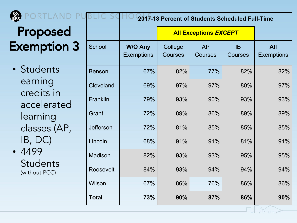

#### **PORTLAND 2017-18 Percent of Students Scheduled Full-Time**

#### Proposed Exemption 3

• Students earning credits in accelerated learning classes (AP, IB, DC)

• 4499 **Students** (without PCC)

|                  |                                     | <b>All Exceptions EXCEPT</b> |                             |                      |                                 |
|------------------|-------------------------------------|------------------------------|-----------------------------|----------------------|---------------------------------|
| School           | <b>W/O Any</b><br><b>Exemptions</b> | College<br><b>Courses</b>    | <b>AP</b><br><b>Courses</b> | IB<br><b>Courses</b> | <b>All</b><br><b>Exemptions</b> |
| <b>Benson</b>    | 67%                                 | 82%                          | 77%                         | 82%                  | 82%                             |
| Cleveland        | 69%                                 | 97%                          | 97%                         | 80%                  | 97%                             |
| Franklin         | 79%                                 | 93%                          | 90%                         | 93%                  | 93%                             |
| Grant            | 72%                                 | 89%                          | 86%                         | 89%                  | 89%                             |
| <b>Jefferson</b> | 72%                                 | 81%                          | 85%                         | 85%                  | 85%                             |
| Lincoln          | 68%                                 | 91%                          | 91%                         | 81%                  | 91%                             |
| <b>Madison</b>   | 82%                                 | 93%                          | 93%                         | 95%                  | 95%                             |
| Roosevelt        | 84%                                 | 93%                          | 94%                         | 94%                  | 94%                             |
| Wilson           | 67%                                 | 86%                          | 76%                         | 86%                  | 86%                             |
| <b>Total</b>     | 73%                                 | 90%                          | 87%                         | 86%                  | 90%<br><b>College</b>           |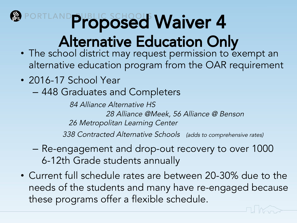

# Proposed Waiver 4 Alternative Education Only

- The school district may request permission to exempt an alternative education program from the OAR requirement
- 2016-17 School Year
	- 448 Graduates and Completers

 84 Alliance Alternative HS 28 Alliance @Meek, 56 Alliance @ Benson 26 Metropolitan Learning Center 338 Contracted Alternative Schools (adds to comprehensive rates)

- Re-engagement and drop-out recovery to over 1000 6-12th Grade students annually
- Current full schedule rates are between 20-30% due to the needs of the students and many have re-engaged because these programs offer a flexible schedule.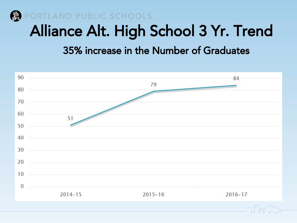

#### **PORTLAND PUBLIC SCHOOLS** Alliance Alt. High School 3 Yr. Trend

35% increase in the Number of Graduates

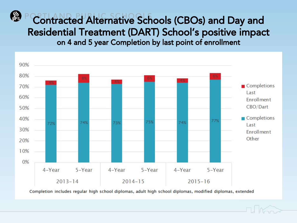Contracted Alternative Schools (CBOs) and Day and Residential Treatment (DART) School's positive impact on 4 and 5 year Completion by last point of enrollment



Completion includes regular high school diplomas, adult high school diplomas, modified diplomas, extended